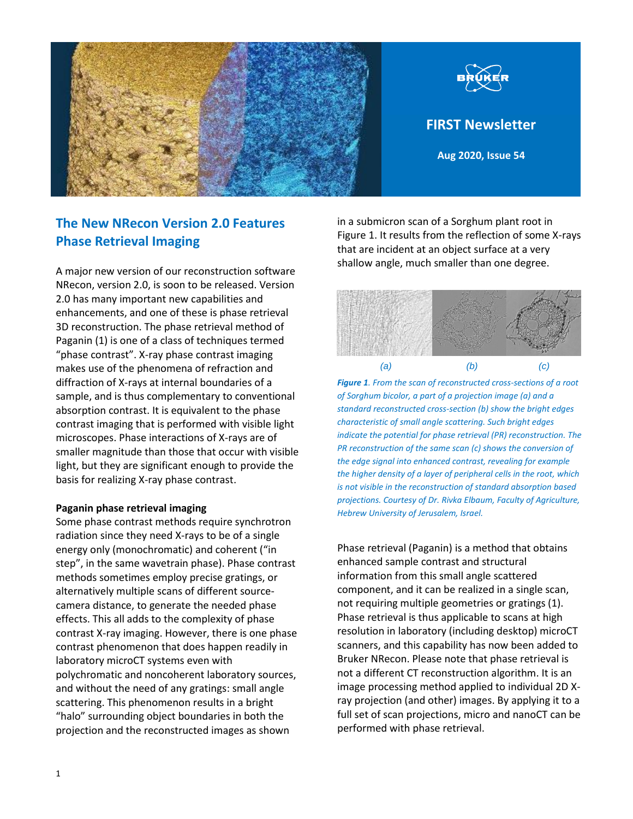

## **The New NRecon Version 2.0 Features Phase Retrieval Imaging**

A major new version of our reconstruction software NRecon, version 2.0, is soon to be released. Version 2.0 has many important new capabilities and enhancements, and one of these is phase retrieval 3D reconstruction. The phase retrieval method of Paganin (1) is one of a class of techniques termed "phase contrast". X-ray phase contrast imaging makes use of the phenomena of refraction and diffraction of X-rays at internal boundaries of a sample, and is thus complementary to conventional absorption contrast. It is equivalent to the phase contrast imaging that is performed with visible light microscopes. Phase interactions of X-rays are of smaller magnitude than those that occur with visible light, but they are significant enough to provide the basis for realizing X-ray phase contrast.

## **Paganin phase retrieval imaging**

Some phase contrast methods require synchrotron radiation since they need X-rays to be of a single energy only (monochromatic) and coherent ("in step", in the same wavetrain phase). Phase contrast methods sometimes employ precise gratings, or alternatively multiple scans of different sourcecamera distance, to generate the needed phase effects. This all adds to the complexity of phase contrast X-ray imaging. However, there is one phase contrast phenomenon that does happen readily in laboratory microCT systems even with polychromatic and noncoherent laboratory sources, and without the need of any gratings: small angle scattering. This phenomenon results in a bright "halo" surrounding object boundaries in both the projection and the reconstructed images as shown

in a submicron scan of a Sorghum plant root in Figure 1. It results from the reflection of some X-rays that are incident at an object surface at a very shallow angle, much smaller than one degree.



*Figure 1. From the scan of reconstructed cross-sections of a root of Sorghum bicolor, a part of a projection image (a) and a standard reconstructed cross-section (b) show the bright edges characteristic of small angle scattering. Such bright edges indicate the potential for phase retrieval (PR) reconstruction. The PR reconstruction of the same scan (c) shows the conversion of the edge signal into enhanced contrast, revealing for example the higher density of a layer of peripheral cells in the root, which is not visible in the reconstruction of standard absorption based projections. Courtesy of Dr. Rivka Elbaum, Faculty of Agriculture, Hebrew University of Jerusalem, Israel.*

Phase retrieval (Paganin) is a method that obtains enhanced sample contrast and structural information from this small angle scattered component, and it can be realized in a single scan, not requiring multiple geometries or gratings (1). Phase retrieval is thus applicable to scans at high resolution in laboratory (including desktop) microCT scanners, and this capability has now been added to Bruker NRecon. Please note that phase retrieval is not a different CT reconstruction algorithm. It is an image processing method applied to individual 2D Xray projection (and other) images. By applying it to a full set of scan projections, micro and nanoCT can be performed with phase retrieval.